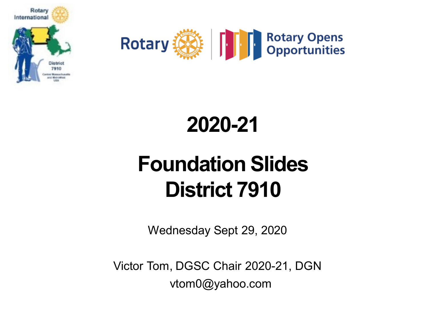



#### **2020-21**

# **Foundation Slides District 7910**

Wednesday Sept 29, 2020

Victor Tom, DGSC Chair 2020-21, DGN vtom0@yahoo.com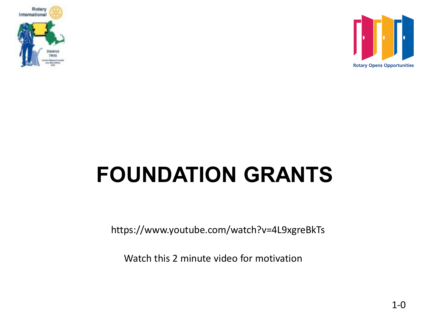



# **FOUNDATION GRANTS**

https://www.youtube.com/watch?v=4L9xgreBkTs

Watch this 2 minute video for motivation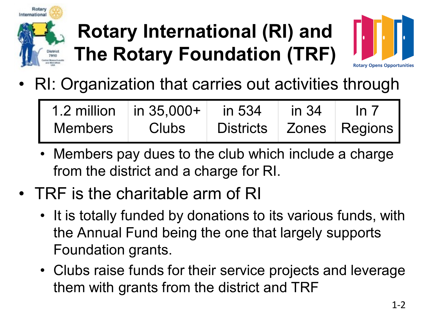

# **Rotary International (RI) and The Rotary Foundation (TRF)**



• RI: Organization that carries out activities through

| 1.2 million    | $\ln 35,000+$ | in 534                      | $\frac{1}{2}$ in 34 | In $7$ |
|----------------|---------------|-----------------------------|---------------------|--------|
| <b>Members</b> | <b>Clubs</b>  | Districts   Zones   Regions |                     |        |

- Members pay dues to the club which include a charge from the district and a charge for RI.
- TRF is the charitable arm of RI
	- It is totally funded by donations to its various funds, with the Annual Fund being the one that largely supports Foundation grants.
	- Clubs raise funds for their service projects and leverage them with grants from the district and TRF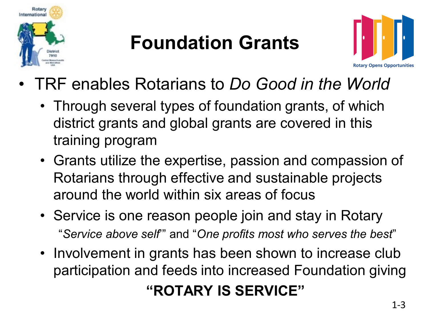

#### **Foundation Grants**



- TRF enables Rotarians to *Do Good in the World*
	- Through several types of foundation grants, of which district grants and global grants are covered in this training program
	- Grants utilize the expertise, passion and compassion of Rotarians through effective and sustainable projects around the world within six areas of focus
	- Service is one reason people join and stay in Rotary "*Service above self*'" and "*One profits most who serves the best*"
	- Involvement in grants has been shown to increase club participation and feeds into increased Foundation giving

#### **"ROTARY IS SERVICE"**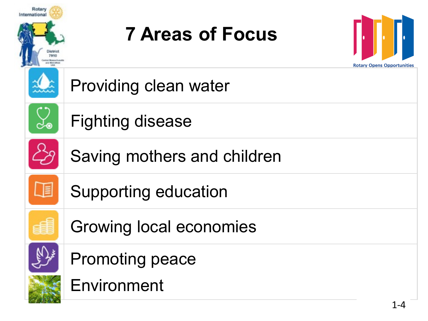| Rotary<br>International | <b>7 Areas of Focus</b>        | <b>Rotary Opens Opportunities</b> |
|-------------------------|--------------------------------|-----------------------------------|
|                         | Providing clean water          |                                   |
|                         | <b>Fighting disease</b>        |                                   |
|                         | Saving mothers and children    |                                   |
| JE                      | <b>Supporting education</b>    |                                   |
|                         | <b>Growing local economies</b> |                                   |
|                         | <b>Promoting peace</b>         |                                   |
|                         | Environment                    | 1 A                               |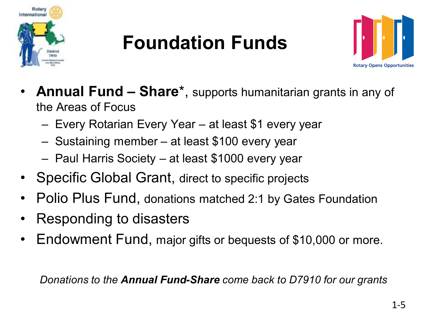

### **Foundation Funds**



- **Annual Fund – Share**\*, supports humanitarian grants in any of the Areas of Focus
	- Every Rotarian Every Year at least \$1 every year
	- Sustaining member at least \$100 every year
	- Paul Harris Society at least \$1000 every year
- Specific Global Grant, direct to specific projects
- Polio Plus Fund, donations matched 2:1 by Gates Foundation
- Responding to disasters
- Endowment Fund, major gifts or bequests of \$10,000 or more.

*Donations to the Annual Fund-Share come back to D7910 for our grants*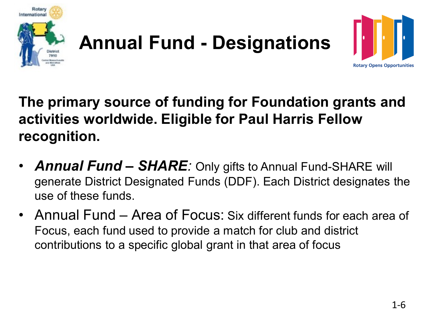



**The primary source of funding for Foundation grants and activities worldwide. Eligible for Paul Harris Fellow recognition.** 

- *Annual Fund – SHARE:* Only gifts to Annual Fund-SHARE will generate District Designated Funds (DDF). Each District designates the use of these funds.
- Annual Fund Area of Focus: Six different funds for each area of Focus, each fund used to provide a match for club and district contributions to a specific global grant in that area of focus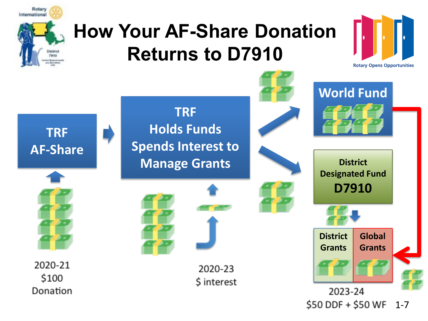

#### **How Your AF-Share Donation Returns to D7910**



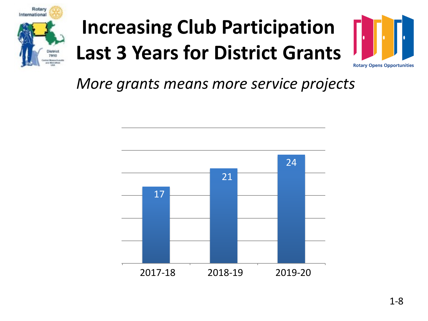

# **Increasing Club Participation Last 3 Years for District Grants**



*More grants means more service projects*

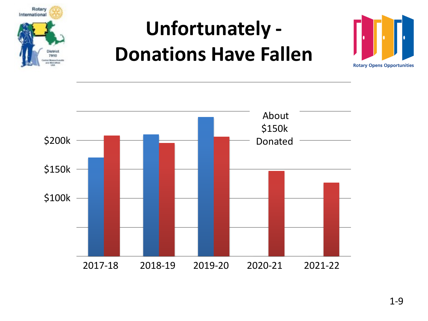

## **Unfortunately - Donations Have Fallen**